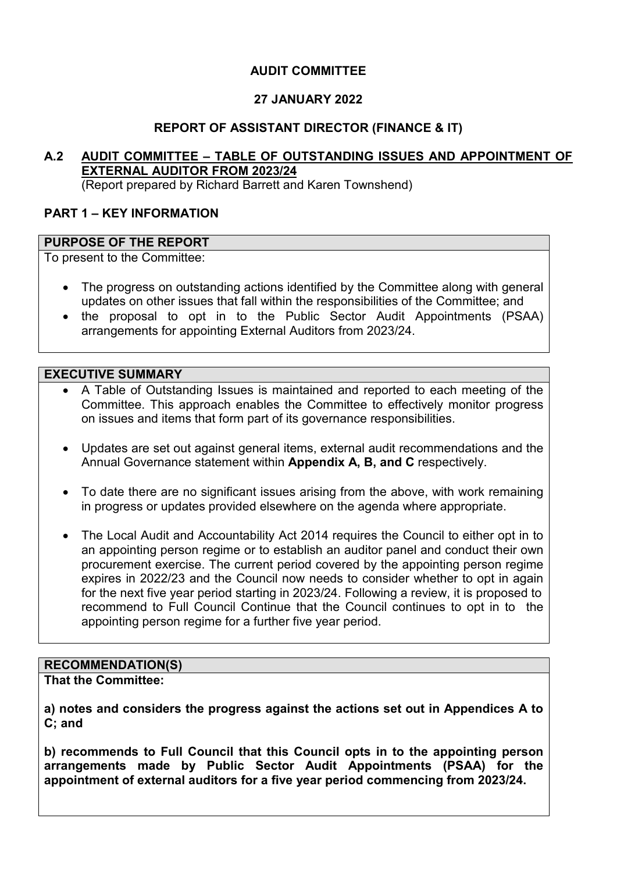# **AUDIT COMMITTEE**

# **27 JANUARY 2022**

### **REPORT OF ASSISTANT DIRECTOR (FINANCE & IT)**

**A.2 AUDIT COMMITTEE – TABLE OF OUTSTANDING ISSUES AND APPOINTMENT OF EXTERNAL AUDITOR FROM 2023/24**  (Report prepared by Richard Barrett and Karen Townshend)

# **PART 1 – KEY INFORMATION**

#### **PURPOSE OF THE REPORT**

To present to the Committee:

- The progress on outstanding actions identified by the Committee along with general updates on other issues that fall within the responsibilities of the Committee; and
- the proposal to opt in to the Public Sector Audit Appointments (PSAA) arrangements for appointing External Auditors from 2023/24.

#### **EXECUTIVE SUMMARY**

- A Table of Outstanding Issues is maintained and reported to each meeting of the Committee. This approach enables the Committee to effectively monitor progress on issues and items that form part of its governance responsibilities.
- Updates are set out against general items, external audit recommendations and the Annual Governance statement within **Appendix A, B, and C** respectively.
- To date there are no significant issues arising from the above, with work remaining in progress or updates provided elsewhere on the agenda where appropriate.
- The Local Audit and Accountability Act 2014 requires the Council to either opt in to an appointing person regime or to establish an auditor panel and conduct their own procurement exercise. The current period covered by the appointing person regime expires in 2022/23 and the Council now needs to consider whether to opt in again for the next five year period starting in 2023/24. Following a review, it is proposed to recommend to Full Council Continue that the Council continues to opt in to the appointing person regime for a further five year period.

# **RECOMMENDATION(S)**

**That the Committee:** 

**a) notes and considers the progress against the actions set out in Appendices A to C; and** 

**b) recommends to Full Council that this Council opts in to the appointing person arrangements made by Public Sector Audit Appointments (PSAA) for the appointment of external auditors for a five year period commencing from 2023/24.**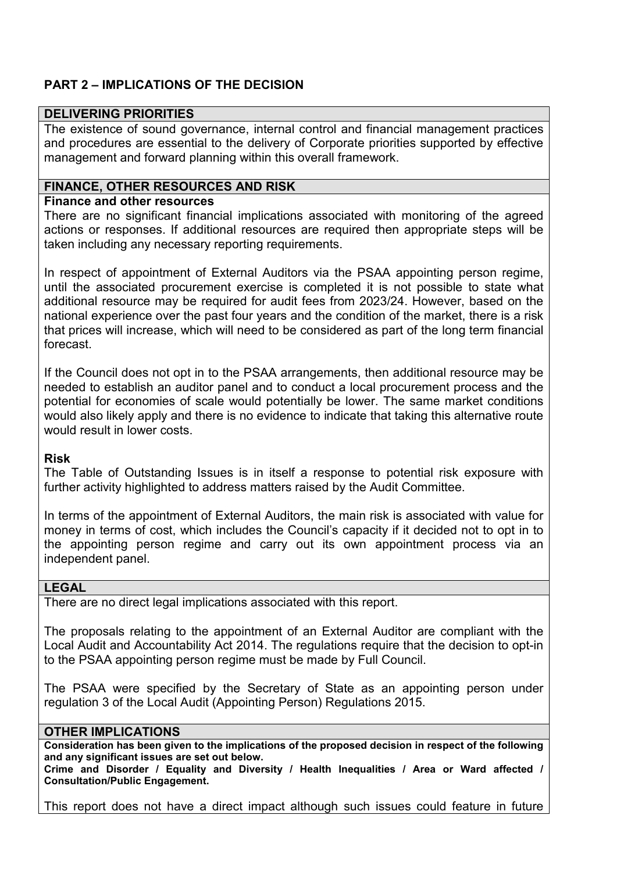# **PART 2 – IMPLICATIONS OF THE DECISION**

#### **DELIVERING PRIORITIES**

The existence of sound governance, internal control and financial management practices and procedures are essential to the delivery of Corporate priorities supported by effective management and forward planning within this overall framework.

#### **FINANCE, OTHER RESOURCES AND RISK**

#### **Finance and other resources**

There are no significant financial implications associated with monitoring of the agreed actions or responses. If additional resources are required then appropriate steps will be taken including any necessary reporting requirements.

In respect of appointment of External Auditors via the PSAA appointing person regime, until the associated procurement exercise is completed it is not possible to state what additional resource may be required for audit fees from 2023/24. However, based on the national experience over the past four years and the condition of the market, there is a risk that prices will increase, which will need to be considered as part of the long term financial forecast.

If the Council does not opt in to the PSAA arrangements, then additional resource may be needed to establish an auditor panel and to conduct a local procurement process and the potential for economies of scale would potentially be lower. The same market conditions would also likely apply and there is no evidence to indicate that taking this alternative route would result in lower costs.

#### **Risk**

The Table of Outstanding Issues is in itself a response to potential risk exposure with further activity highlighted to address matters raised by the Audit Committee.

In terms of the appointment of External Auditors, the main risk is associated with value for money in terms of cost, which includes the Council's capacity if it decided not to opt in to the appointing person regime and carry out its own appointment process via an independent panel.

# **LEGAL**

There are no direct legal implications associated with this report.

The proposals relating to the appointment of an External Auditor are compliant with the Local Audit and Accountability Act 2014. The regulations require that the decision to opt-in to the PSAA appointing person regime must be made by Full Council.

The PSAA were specified by the Secretary of State as an appointing person under regulation 3 of the Local Audit (Appointing Person) Regulations 2015.

#### **OTHER IMPLICATIONS**

**Consideration has been given to the implications of the proposed decision in respect of the following and any significant issues are set out below.** 

**Crime and Disorder / Equality and Diversity / Health Inequalities / Area or Ward affected / Consultation/Public Engagement.** 

This report does not have a direct impact although such issues could feature in future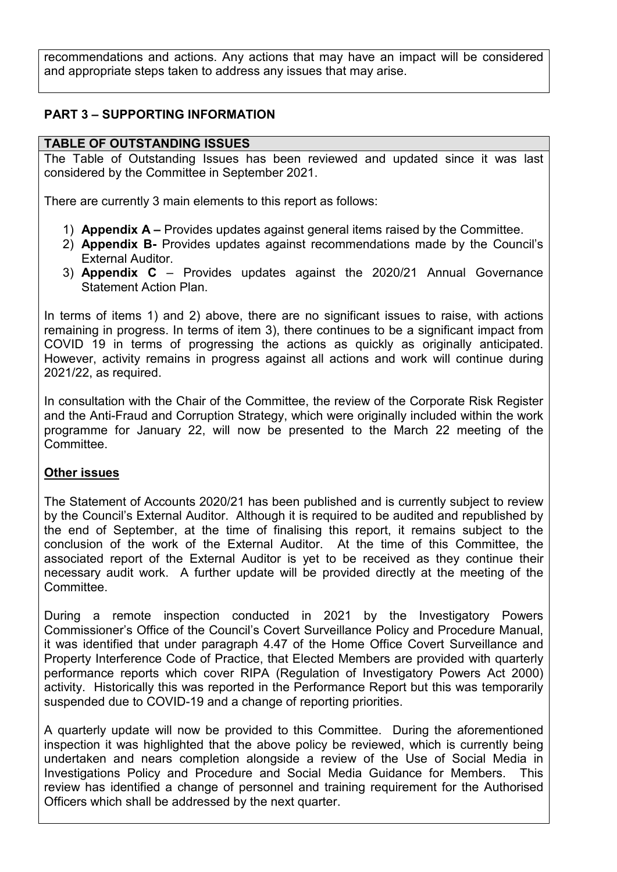recommendations and actions. Any actions that may have an impact will be considered and appropriate steps taken to address any issues that may arise.

# **PART 3 – SUPPORTING INFORMATION**

### **TABLE OF OUTSTANDING ISSUES**

The Table of Outstanding Issues has been reviewed and updated since it was last considered by the Committee in September 2021.

There are currently 3 main elements to this report as follows:

- 1) **Appendix A** Provides updates against general items raised by the Committee.
- 2) **Appendix B-** Provides updates against recommendations made by the Council's External Auditor.
- 3) **Appendix C** Provides updates against the 2020/21 Annual Governance Statement Action Plan.

In terms of items 1) and 2) above, there are no significant issues to raise, with actions remaining in progress. In terms of item 3), there continues to be a significant impact from COVID 19 in terms of progressing the actions as quickly as originally anticipated. However, activity remains in progress against all actions and work will continue during 2021/22, as required.

In consultation with the Chair of the Committee, the review of the Corporate Risk Register and the Anti-Fraud and Corruption Strategy, which were originally included within the work programme for January 22, will now be presented to the March 22 meeting of the Committee.

### **Other issues**

The Statement of Accounts 2020/21 has been published and is currently subject to review by the Council's External Auditor. Although it is required to be audited and republished by the end of September, at the time of finalising this report, it remains subject to the conclusion of the work of the External Auditor. At the time of this Committee, the associated report of the External Auditor is yet to be received as they continue their necessary audit work. A further update will be provided directly at the meeting of the **Committee** 

During a remote inspection conducted in 2021 by the Investigatory Powers Commissioner's Office of the Council's Covert Surveillance Policy and Procedure Manual, it was identified that under paragraph 4.47 of the Home Office Covert Surveillance and Property Interference Code of Practice, that Elected Members are provided with quarterly performance reports which cover RIPA (Regulation of Investigatory Powers Act 2000) activity. Historically this was reported in the Performance Report but this was temporarily suspended due to COVID-19 and a change of reporting priorities.

A quarterly update will now be provided to this Committee. During the aforementioned inspection it was highlighted that the above policy be reviewed, which is currently being undertaken and nears completion alongside a review of the Use of Social Media in Investigations Policy and Procedure and Social Media Guidance for Members. This review has identified a change of personnel and training requirement for the Authorised Officers which shall be addressed by the next quarter.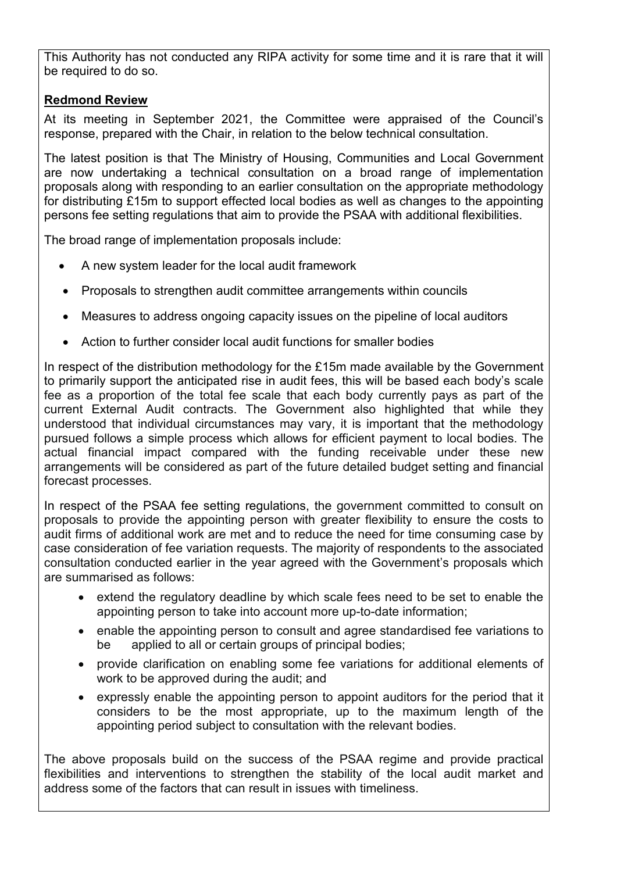This Authority has not conducted any RIPA activity for some time and it is rare that it will be required to do so.

# **Redmond Review**

At its meeting in September 2021, the Committee were appraised of the Council's response, prepared with the Chair, in relation to the below technical consultation.

The latest position is that The Ministry of Housing, Communities and Local Government are now undertaking a technical consultation on a broad range of implementation proposals along with responding to an earlier consultation on the appropriate methodology for distributing £15m to support effected local bodies as well as changes to the appointing persons fee setting regulations that aim to provide the PSAA with additional flexibilities.

The broad range of implementation proposals include:

- A new system leader for the local audit framework
- Proposals to strengthen audit committee arrangements within councils
- Measures to address ongoing capacity issues on the pipeline of local auditors
- Action to further consider local audit functions for smaller bodies

In respect of the distribution methodology for the £15m made available by the Government to primarily support the anticipated rise in audit fees, this will be based each body's scale fee as a proportion of the total fee scale that each body currently pays as part of the current External Audit contracts. The Government also highlighted that while they understood that individual circumstances may vary, it is important that the methodology pursued follows a simple process which allows for efficient payment to local bodies. The actual financial impact compared with the funding receivable under these new arrangements will be considered as part of the future detailed budget setting and financial forecast processes.

In respect of the PSAA fee setting regulations, the government committed to consult on proposals to provide the appointing person with greater flexibility to ensure the costs to audit firms of additional work are met and to reduce the need for time consuming case by case consideration of fee variation requests. The majority of respondents to the associated consultation conducted earlier in the year agreed with the Government's proposals which are summarised as follows:

- extend the regulatory deadline by which scale fees need to be set to enable the appointing person to take into account more up-to-date information;
- enable the appointing person to consult and agree standardised fee variations to be applied to all or certain groups of principal bodies;
- provide clarification on enabling some fee variations for additional elements of work to be approved during the audit; and
- expressly enable the appointing person to appoint auditors for the period that it considers to be the most appropriate, up to the maximum length of the appointing period subject to consultation with the relevant bodies.

The above proposals build on the success of the PSAA regime and provide practical flexibilities and interventions to strengthen the stability of the local audit market and address some of the factors that can result in issues with timeliness.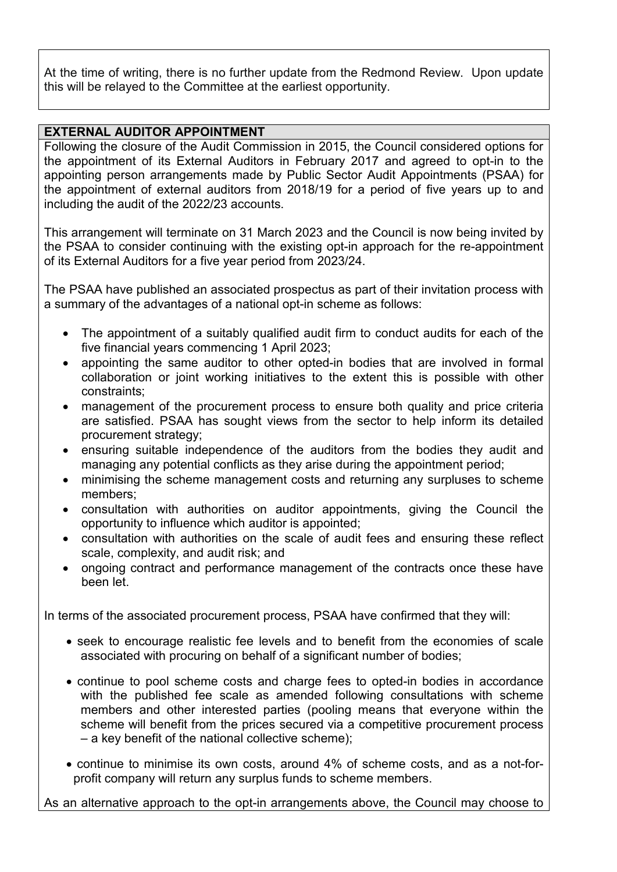At the time of writing, there is no further update from the Redmond Review. Upon update this will be relayed to the Committee at the earliest opportunity.

## **EXTERNAL AUDITOR APPOINTMENT**

Following the closure of the Audit Commission in 2015, the Council considered options for the appointment of its External Auditors in February 2017 and agreed to opt-in to the appointing person arrangements made by Public Sector Audit Appointments (PSAA) for the appointment of external auditors from 2018/19 for a period of five years up to and including the audit of the 2022/23 accounts.

This arrangement will terminate on 31 March 2023 and the Council is now being invited by the PSAA to consider continuing with the existing opt-in approach for the re-appointment of its External Auditors for a five year period from 2023/24.

The PSAA have published an associated prospectus as part of their invitation process with a summary of the advantages of a national opt-in scheme as follows:

- The appointment of a suitably qualified audit firm to conduct audits for each of the five financial years commencing 1 April 2023;
- appointing the same auditor to other opted-in bodies that are involved in formal collaboration or joint working initiatives to the extent this is possible with other constraints;
- management of the procurement process to ensure both quality and price criteria are satisfied. PSAA has sought views from the sector to help inform its detailed procurement strategy;
- ensuring suitable independence of the auditors from the bodies they audit and managing any potential conflicts as they arise during the appointment period;
- minimising the scheme management costs and returning any surpluses to scheme members;
- consultation with authorities on auditor appointments, giving the Council the opportunity to influence which auditor is appointed;
- consultation with authorities on the scale of audit fees and ensuring these reflect scale, complexity, and audit risk; and
- ongoing contract and performance management of the contracts once these have been let.

In terms of the associated procurement process, PSAA have confirmed that they will:

- seek to encourage realistic fee levels and to benefit from the economies of scale associated with procuring on behalf of a significant number of bodies;
- continue to pool scheme costs and charge fees to opted-in bodies in accordance with the published fee scale as amended following consultations with scheme members and other interested parties (pooling means that everyone within the scheme will benefit from the prices secured via a competitive procurement process – a key benefit of the national collective scheme);
- continue to minimise its own costs, around 4% of scheme costs, and as a not-forprofit company will return any surplus funds to scheme members.

As an alternative approach to the opt-in arrangements above, the Council may choose to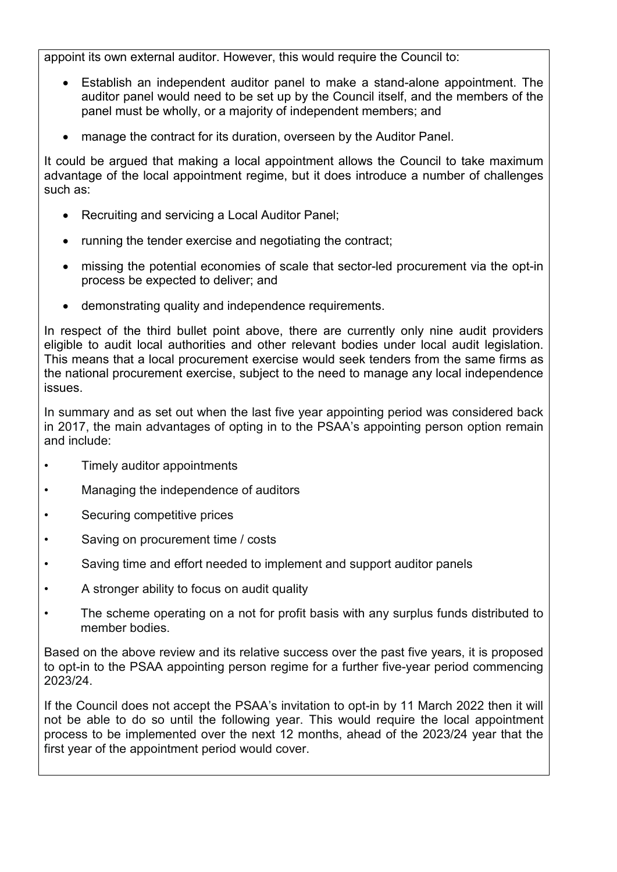appoint its own external auditor. However, this would require the Council to:

- Establish an independent auditor panel to make a stand-alone appointment. The auditor panel would need to be set up by the Council itself, and the members of the panel must be wholly, or a majority of independent members; and
- manage the contract for its duration, overseen by the Auditor Panel.

It could be argued that making a local appointment allows the Council to take maximum advantage of the local appointment regime, but it does introduce a number of challenges such as:

- Recruiting and servicing a Local Auditor Panel;
- running the tender exercise and negotiating the contract;
- missing the potential economies of scale that sector-led procurement via the opt-in process be expected to deliver; and
- demonstrating quality and independence requirements.

In respect of the third bullet point above, there are currently only nine audit providers eligible to audit local authorities and other relevant bodies under local audit legislation. This means that a local procurement exercise would seek tenders from the same firms as the national procurement exercise, subject to the need to manage any local independence issues.

In summary and as set out when the last five year appointing period was considered back in 2017, the main advantages of opting in to the PSAA's appointing person option remain and include:

- Timely auditor appointments
- Managing the independence of auditors
- Securing competitive prices
- Saving on procurement time / costs
- Saving time and effort needed to implement and support auditor panels
- A stronger ability to focus on audit quality
- The scheme operating on a not for profit basis with any surplus funds distributed to member bodies.

Based on the above review and its relative success over the past five years, it is proposed to opt-in to the PSAA appointing person regime for a further five-year period commencing 2023/24.

If the Council does not accept the PSAA's invitation to opt-in by 11 March 2022 then it will not be able to do so until the following year. This would require the local appointment process to be implemented over the next 12 months, ahead of the 2023/24 year that the first year of the appointment period would cover.